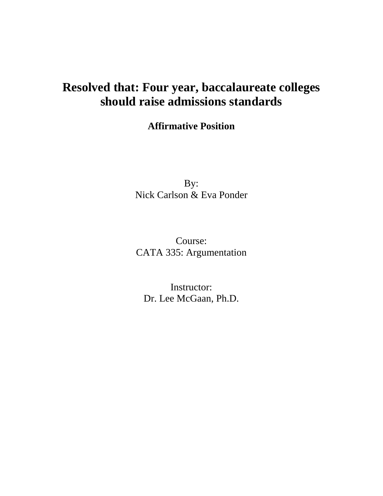# **Resolved that: Four year, baccalaureate colleges should raise admissions standards**

**Affirmative Position** 

By: Nick Carlson & Eva Ponder

Course: CATA 335: Argumentation

Instructor: Dr. Lee McGaan, Ph.D.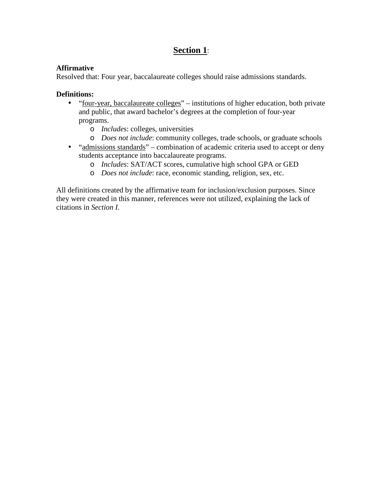# **Section 1**:

## **Affirmative**

Resolved that: Four year, baccalaureate colleges should raise admissions standards.

#### **Definitions:**

- "four-year, baccalaureate colleges" institutions of higher education, both private and public, that award bachelor's degrees at the completion of four-year programs.
	- o *Include*s: colleges, universities
	- o *Does not include*: community colleges, trade schools, or graduate schools
- "admissions standards" combination of academic criteria used to accept or deny students acceptance into baccalaureate programs.
	- o *Includes*: SAT/ACT scores, cumulative high school GPA or GED
	- o *Does not include*: race, economic standing, religion, sex, etc.

All definitions created by the affirmative team for inclusion/exclusion purposes. Since they were created in this manner, references were not utilized, explaining the lack of citations in *Section I*.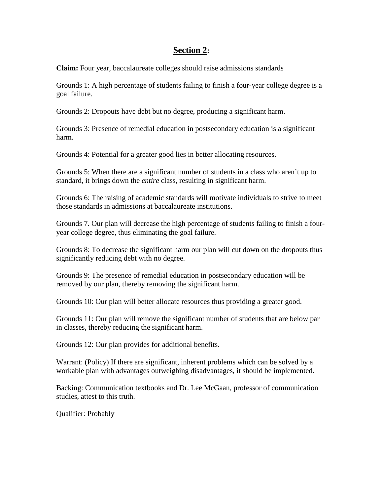## **Section 2:**

**Claim:** Four year, baccalaureate colleges should raise admissions standards

Grounds 1: A high percentage of students failing to finish a four-year college degree is a goal failure.

Grounds 2: Dropouts have debt but no degree, producing a significant harm.

Grounds 3: Presence of remedial education in postsecondary education is a significant harm.

Grounds 4: Potential for a greater good lies in better allocating resources.

Grounds 5: When there are a significant number of students in a class who aren't up to standard, it brings down the *entire* class, resulting in significant harm.

Grounds 6: The raising of academic standards will motivate individuals to strive to meet those standards in admissions at baccalaureate institutions.

Grounds 7. Our plan will decrease the high percentage of students failing to finish a fouryear college degree, thus eliminating the goal failure.

Grounds 8: To decrease the significant harm our plan will cut down on the dropouts thus significantly reducing debt with no degree.

Grounds 9: The presence of remedial education in postsecondary education will be removed by our plan, thereby removing the significant harm.

Grounds 10: Our plan will better allocate resources thus providing a greater good.

Grounds 11: Our plan will remove the significant number of students that are below par in classes, thereby reducing the significant harm.

Grounds 12: Our plan provides for additional benefits.

Warrant: (Policy) If there are significant, inherent problems which can be solved by a workable plan with advantages outweighing disadvantages, it should be implemented.

Backing: Communication textbooks and Dr. Lee McGaan, professor of communication studies, attest to this truth.

Qualifier: Probably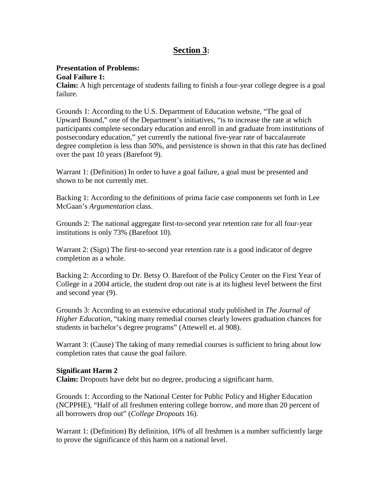# **Section 3:**

#### **Presentation of Problems: Goal Failure 1:**

**Claim:** A high percentage of students failing to finish a four-year college degree is a goal failure.

Grounds 1: According to the U.S. Department of Education website, "The goal of Upward Bound," one of the Department's initiatives, "is to increase the rate at which participants complete secondary education and enroll in and graduate from institutions of postsecondary education," yet currently the national five-year rate of baccalaureate degree completion is less than 50%, and persistence is shown in that this rate has declined over the past 10 years (Barefoot 9).

Warrant 1: (Definition) In order to have a goal failure, a goal must be presented and shown to be not currently met.

Backing 1: According to the definitions of prima facie case components set forth in Lee McGaan's *Argumentation* class.

Grounds 2: The national aggregate first-to-second year retention rate for all four-year institutions is only 73% (Barefoot 10).

Warrant 2: (Sign) The first-to-second year retention rate is a good indicator of degree completion as a whole.

Backing 2: According to Dr. Betsy O. Barefoot of the Policy Center on the First Year of College in a 2004 article, the student drop out rate is at its highest level between the first and second year (9).

Grounds 3: According to an extensive educational study published in *The Journal of Higher Education,* "taking many remedial courses clearly lowers graduation chances for students in bachelor's degree programs" (Attewell et. al 908).

Warrant 3: (Cause) The taking of many remedial courses is sufficient to bring about low completion rates that cause the goal failure.

#### **Significant Harm 2**

**Claim:** Dropouts have debt but no degree, producing a significant harm.

Grounds 1: According to the National Center for Public Policy and Higher Education (NCPPHE), "Half of all freshmen entering college borrow, and more than 20 percent of all borrowers drop out" (*College Dropouts* 16).

Warrant 1: (Definition) By definition, 10% of all freshmen is a number sufficiently large to prove the significance of this harm on a national level.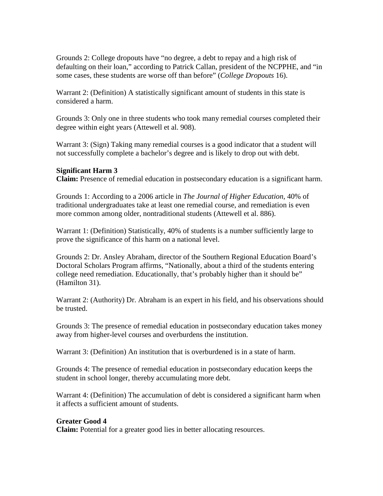Grounds 2: College dropouts have "no degree, a debt to repay and a high risk of defaulting on their loan," according to Patrick Callan, president of the NCPPHE, and "in some cases, these students are worse off than before" (*College Dropouts* 16).

Warrant 2: (Definition) A statistically significant amount of students in this state is considered a harm.

Grounds 3: Only one in three students who took many remedial courses completed their degree within eight years (Attewell et al. 908).

Warrant 3: (Sign) Taking many remedial courses is a good indicator that a student will not successfully complete a bachelor's degree and is likely to drop out with debt.

#### **Significant Harm 3**

**Claim:** Presence of remedial education in postsecondary education is a significant harm.

Grounds 1: According to a 2006 article in *The Journal of Higher Education,* 40% of traditional undergraduates take at least one remedial course, and remediation is even more common among older, nontraditional students (Attewell et al. 886).

Warrant 1: (Definition) Statistically, 40% of students is a number sufficiently large to prove the significance of this harm on a national level.

Grounds 2: Dr. Ansley Abraham, director of the Southern Regional Education Board's Doctoral Scholars Program affirms, "Nationally, about a third of the students entering college need remediation. Educationally, that's probably higher than it should be" (Hamilton 31).

Warrant 2: (Authority) Dr. Abraham is an expert in his field, and his observations should be trusted.

Grounds 3: The presence of remedial education in postsecondary education takes money away from higher-level courses and overburdens the institution.

Warrant 3: (Definition) An institution that is overburdened is in a state of harm.

Grounds 4: The presence of remedial education in postsecondary education keeps the student in school longer, thereby accumulating more debt.

Warrant 4: (Definition) The accumulation of debt is considered a significant harm when it affects a sufficient amount of students.

#### **Greater Good 4**

**Claim:** Potential for a greater good lies in better allocating resources.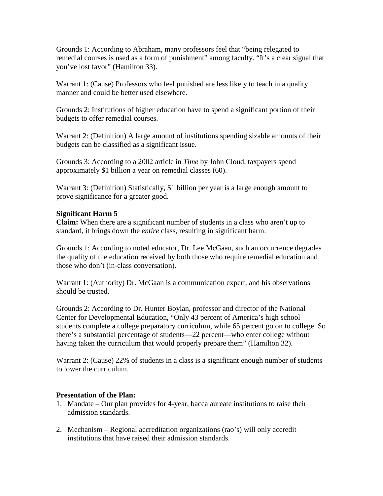Grounds 1: According to Abraham, many professors feel that "being relegated to remedial courses is used as a form of punishment" among faculty. "It's a clear signal that you've lost favor" (Hamilton 33).

Warrant 1: (Cause) Professors who feel punished are less likely to teach in a quality manner and could be better used elsewhere.

Grounds 2: Institutions of higher education have to spend a significant portion of their budgets to offer remedial courses.

Warrant 2: (Definition) A large amount of institutions spending sizable amounts of their budgets can be classified as a significant issue.

Grounds 3: According to a 2002 article in *Time* by John Cloud, taxpayers spend approximately \$1 billion a year on remedial classes (60).

Warrant 3: (Definition) Statistically, \$1 billion per year is a large enough amount to prove significance for a greater good.

#### **Significant Harm 5**

**Claim:** When there are a significant number of students in a class who aren't up to standard, it brings down the *entire* class, resulting in significant harm.

Grounds 1: According to noted educator, Dr. Lee McGaan, such an occurrence degrades the quality of the education received by both those who require remedial education and those who don't (in-class conversation).

Warrant 1: (Authority) Dr. McGaan is a communication expert, and his observations should be trusted.

Grounds 2: According to Dr. Hunter Boylan, professor and director of the National Center for Developmental Education, "Only 43 percent of America's high school students complete a college preparatory curriculum, while 65 percent go on to college. So there's a substantial percentage of students—22 percent—who enter college without having taken the curriculum that would properly prepare them" (Hamilton 32).

Warrant 2: (Cause) 22% of students in a class is a significant enough number of students to lower the curriculum.

#### **Presentation of the Plan:**

- 1. Mandate Our plan provides for 4-year, baccalaureate institutions to raise their admission standards.
- 2. Mechanism Regional accreditation organizations (rao's) will only accredit institutions that have raised their admission standards.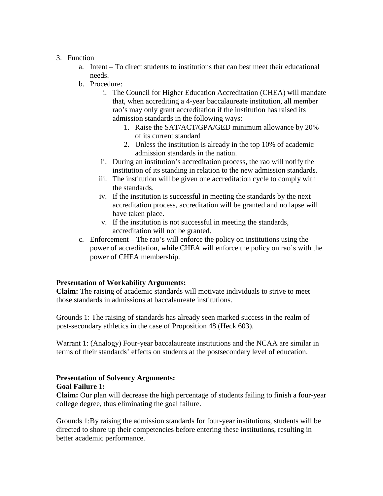#### 3. Function

- a. Intent To direct students to institutions that can best meet their educational needs.
- b. Procedure:
	- i. The Council for Higher Education Accreditation (CHEA) will mandate that, when accrediting a 4-year baccalaureate institution, all member rao's may only grant accreditation if the institution has raised its admission standards in the following ways:
		- 1. Raise the SAT/ACT/GPA/GED minimum allowance by 20% of its current standard
		- 2. Unless the institution is already in the top 10% of academic admission standards in the nation.
	- ii. During an institution's accreditation process, the rao will notify the institution of its standing in relation to the new admission standards.
	- iii. The institution will be given one accreditation cycle to comply with the standards.
	- iv. If the institution is successful in meeting the standards by the next accreditation process, accreditation will be granted and no lapse will have taken place.
	- v. If the institution is not successful in meeting the standards, accreditation will not be granted.
- c. Enforcement The rao's will enforce the policy on institutions using the power of accreditation, while CHEA will enforce the policy on rao's with the power of CHEA membership.

## **Presentation of Workability Arguments:**

**Claim:** The raising of academic standards will motivate individuals to strive to meet those standards in admissions at baccalaureate institutions.

Grounds 1: The raising of standards has already seen marked success in the realm of post-secondary athletics in the case of Proposition 48 (Heck 603).

Warrant 1: (Analogy) Four-year baccalaureate institutions and the NCAA are similar in terms of their standards' effects on students at the postsecondary level of education.

## **Presentation of Solvency Arguments: Goal Failure 1:**

**Claim:** Our plan will decrease the high percentage of students failing to finish a four-year college degree, thus eliminating the goal failure.

Grounds 1:By raising the admission standards for four-year institutions, students will be directed to shore up their competencies before entering these institutions, resulting in better academic performance.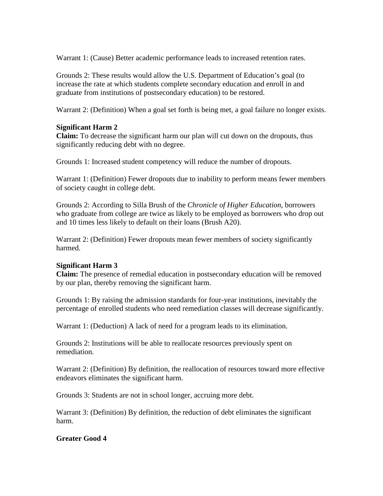Warrant 1: (Cause) Better academic performance leads to increased retention rates.

Grounds 2: These results would allow the U.S. Department of Education's goal (to increase the rate at which students complete secondary education and enroll in and graduate from institutions of postsecondary education) to be restored.

Warrant 2: (Definition) When a goal set forth is being met, a goal failure no longer exists.

#### **Significant Harm 2**

**Claim:** To decrease the significant harm our plan will cut down on the dropouts, thus significantly reducing debt with no degree.

Grounds 1: Increased student competency will reduce the number of dropouts.

Warrant 1: (Definition) Fewer dropouts due to inability to perform means fewer members of society caught in college debt.

Grounds 2: According to Silla Brush of the *Chronicle of Higher Education*, borrowers who graduate from college are twice as likely to be employed as borrowers who drop out and 10 times less likely to default on their loans (Brush A20).

Warrant 2: (Definition) Fewer dropouts mean fewer members of society significantly harmed.

#### **Significant Harm 3**

**Claim:** The presence of remedial education in postsecondary education will be removed by our plan, thereby removing the significant harm.

Grounds 1: By raising the admission standards for four-year institutions, inevitably the percentage of enrolled students who need remediation classes will decrease significantly.

Warrant 1: (Deduction) A lack of need for a program leads to its elimination.

Grounds 2: Institutions will be able to reallocate resources previously spent on remediation.

Warrant 2: (Definition) By definition, the reallocation of resources toward more effective endeavors eliminates the significant harm.

Grounds 3: Students are not in school longer, accruing more debt.

Warrant 3: (Definition) By definition, the reduction of debt eliminates the significant harm.

## **Greater Good 4**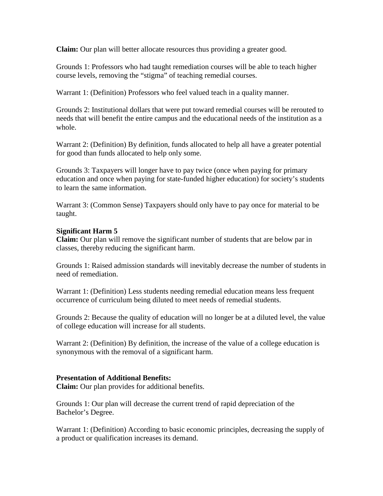**Claim:** Our plan will better allocate resources thus providing a greater good.

Grounds 1: Professors who had taught remediation courses will be able to teach higher course levels, removing the "stigma" of teaching remedial courses.

Warrant 1: (Definition) Professors who feel valued teach in a quality manner.

Grounds 2: Institutional dollars that were put toward remedial courses will be rerouted to needs that will benefit the entire campus and the educational needs of the institution as a whole.

Warrant 2: (Definition) By definition, funds allocated to help all have a greater potential for good than funds allocated to help only some.

Grounds 3: Taxpayers will longer have to pay twice (once when paying for primary education and once when paying for state-funded higher education) for society's students to learn the same information.

Warrant 3: (Common Sense) Taxpayers should only have to pay once for material to be taught.

#### **Significant Harm 5**

**Claim:** Our plan will remove the significant number of students that are below par in classes, thereby reducing the significant harm.

Grounds 1: Raised admission standards will inevitably decrease the number of students in need of remediation.

Warrant 1: (Definition) Less students needing remedial education means less frequent occurrence of curriculum being diluted to meet needs of remedial students.

Grounds 2: Because the quality of education will no longer be at a diluted level, the value of college education will increase for all students.

Warrant 2: (Definition) By definition, the increase of the value of a college education is synonymous with the removal of a significant harm.

#### **Presentation of Additional Benefits:**

**Claim:** Our plan provides for additional benefits.

Grounds 1: Our plan will decrease the current trend of rapid depreciation of the Bachelor's Degree.

Warrant 1: (Definition) According to basic economic principles, decreasing the supply of a product or qualification increases its demand.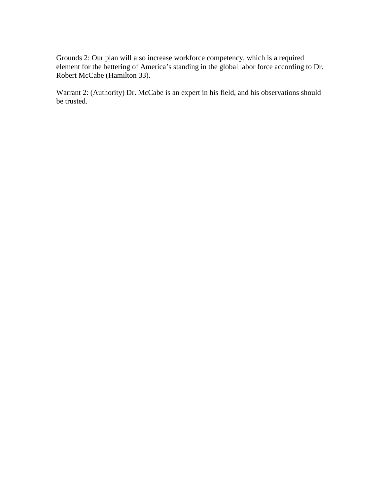Grounds 2: Our plan will also increase workforce competency, which is a required element for the bettering of America's standing in the global labor force according to Dr. Robert McCabe (Hamilton 33).

Warrant 2: (Authority) Dr. McCabe is an expert in his field, and his observations should be trusted.